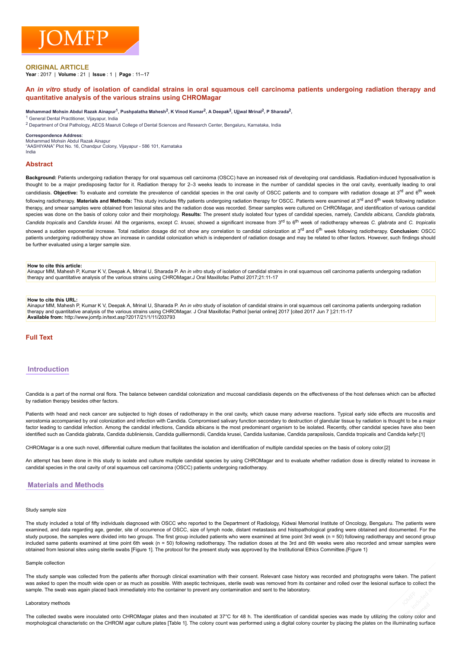## **ORIGINAL ARTICLE**

**Year : 2017 | Volume : 21 | <b>Issue** : 1 | **Page** : 11--17

## An in vitro study of isolation of candidal strains in oral squamous cell carcinoma patients undergoing radiation therapy and **quantitative analysis of the various strains using CHROMagar**

#### $M$ ohammad Mohsin Abdul Razak Ainapur<sup>1</sup>, Pushpalatha Mahesh $^2$ , K Vinod Kumar $^2$ , A Deepak $^2$ , Ujjwal Mrinal $^2$ , P Sharada $^2$ ,

<sup>1</sup> General Dental Practitioner, Vijayapur, India

<sup>2</sup> Department of Oral Pathology, AECS Maaruti College of Dental Sciences and Research Center, Bengaluru, Karnataka, India

### **Correspondence Address**:

Mohammad Mohsin Abdul Razak Ainapur "AASHIYANA" Plot No. 16, Chandpur Colony, Vijayapur 586 101, Karnataka India

### **Abstract**

Background: Patients undergoing radiation therapy for oral squamous cell carcinoma (OSCC) have an increased risk of developing oral candidiasis. Radiation-induced hyposalivation is thought to be a major predisposing factor for it. Radiation therapy for 2-3 weeks leads to increase in the number of candidal species in the oral cavity, eventually leading to oral candidiasis. Objective: To evaluate and correlate the prevalence of candidal species in the oral cavity of OSCC patients and to compare with radiation dosage at 3<sup>rd</sup> and 6<sup>th</sup> week following radiotherapy. Materials and Methods: This study includes fifty patients undergoing radiation therapy for OSCC. Patients were examined at 3<sup>rd</sup> and 6<sup>th</sup> week following radiation therapy, and smear samples were obtained from lesional sites and the radiation dose was recorded. Smear samples were cultured on CHROMagar, and identification of various candidal species was done on the basis of colony color and their morphology. **Results:** The present study isolated four types of candidal species, namely, *Candida albicans, Candida glabrata,* Candida tropicalis and Candida krusei. All the organisms, except C. krusei, showed a significant increase from 3<sup>rd</sup> to 6<sup>th</sup> week of radiotherapy whereas C. glabrata and C. tropicalis showed a sudden exponential increase. Total radiation dosage did not show any correlation to candidal colonization at 3<sup>rd</sup> and 6<sup>th</sup> week following radiotherapy. Concl**usion:** OSCC patients undergoing radiotherapy show an increase in candidal colonization which is independent of radiation dosage and may be related to other factors. However, such findings should be further evaluated using a larger sample size.

#### **How to cite this article:**

Ainapur MM, Mahesh P, Kumar K V, Deepak A, Mrinal U, Sharada P. An *in vitro* study of isolation of candidal strains in oral squamous cell carcinoma patients undergoing radiation therapy and quantitative analysis of the various strains using CHROMagar.J Oral Maxillofac Pathol 2017;21:1117

#### **How to cite this URL:**

Ainapur MM, Mahesh P, Kumar K V, Deepak A, Mrinal U, Sharada P. An *in vitro* study of isolation of candidal strains in oral squamous cell carcinoma patients undergoing radiation therapy and quantitative analysis of the various strains using CHROMagar. J Oral Maxillofac Pathol [serial online] 2017 [cited 2017 Jun 7 ];21:1117 **Available from:** http://www.jomfp.in/text.asp?2017/21/1/11/203793

# **Full Text**

# **Introduction**

Candida is a part of the normal oral flora. The balance between candidal colonization and mucosal candidiasis depends on the effectiveness of the host defenses which can be affected by radiation therapy besides other factors.

Patients with head and neck cancer are subjected to high doses of radiotherapy in the oral cavity, which cause many adverse reactions. Typical early side effects are mucositis and xerostomia accompanied by oral colonization and infection with Candida. Compromised salivary function secondary to destruction of glandular tissue by radiation is thought to be a major factor leading to candidal infection. Among the candidal infections, Candida albicans is the most predominant organism to be isolated. Recently, other candidal species have also been identified such as Candida glabrata, Candida dubliniensis, Candida guilliermondii, Candida krusei, Candida parapsilosis, Candida tropicalis and Candida kefyr.[1]

CHROMagar is a one such novel, differential culture medium that facilitates the isolation and identification of multiple candidal species on the basis of colony color.[2]

An attempt has been done in this study to isolate and culture multiple candidal species by using CHROMagar and to evaluate whether radiation dose is directly related to increase in candidal species in the oral cavity of oral squamous cell carcinoma (OSCC) patients undergoing radiotherapy.

# **Materials and Methods**

#### Study sample size

The study included a total of fifty individuals diagnosed with OSCC who reported to the Department of Radiology, Kidwai Memorial Institute of Oncology, Bengaluru. The patients were examined, and data regarding age, gender, site of occurrence of OSCC, size of lymph node, distant metastasis and histopathological grading were obtained and documented. For the study purpose, the samples were divided into two groups. The first group included patients who were examined at time point 3rd week (n = 50) following radiotherapy and second group included same patients examined at time point 6th week (n = 50) following radiotherapy. The radiation doses at the 3rd and 6th weeks were also recorded and smear samples were obtained from lesional sites using sterile swabs [Figure 1]. The protocol for the present study was approved by the Institutional Ethics Committee.{Figure 1}

#### Sample collection

The study sample was collected from the patients after thorough clinical examination with their consent. Relevant case history was recorded and photographs were taken. The patient was asked to open the mouth wide open or as much as possible. With aseptic techniques, sterile swab was removed from its container and rolled over the lesional surface to collect the sample. The swab was again placed back immediately into the container to prevent any contamination and sent to the laboratory.

#### Laboratory methods

The collected swabs were inoculated onto CHROMagar plates and then incubated at 37°C for 48 h. The identification of candidal species was made by utilizing the colony color and morphological characteristic on the CHROM agar culture plates [Table 1]. The colony count was performed using a digital colony counter by placing the plates on the illuminating surface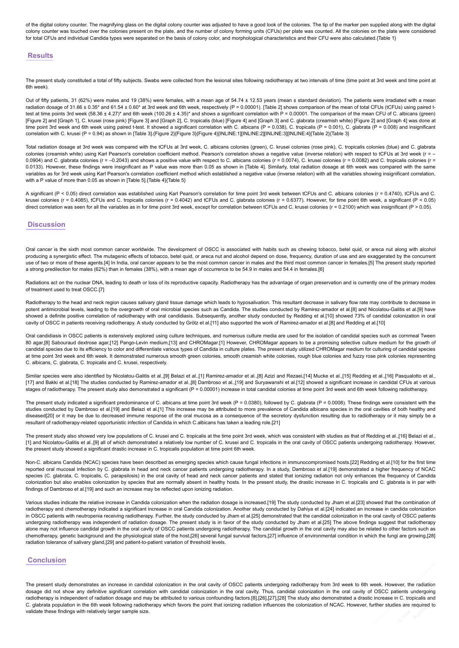of the digital colony counter. The magnifying glass on the digital colony counter was adjusted to have a good look of the colonies. The tip of the marker pen supplied along with the digital colony counter was touched over the colonies present on the plate, and the number of colony forming units (CFUs) per plate was counted. All the colonies on the plate were considered for total CFUs and individual Candida types were separated on the basis of colony color, and morphological characteristics and their CFU were also calculated.{Table 1}

# **Results**

The present study constituted a total of fifty subjects. Swabs were collected from the lesional sites following radiotherapy at two intervals of time (time point at 3rd week and time point at 6th week).

Out of fifty patients, 31 (62%) were males and 19 (38%) were females, with a mean age of 54.74  $\pm$  12.53 years (mean  $\pm$  standard deviation). The patients were irradiated with a mean radiation dosage of 31.66 ± 0.35\* and 61.54 ± 0.60\* at 3rd week and 6th week, respectively (P = 0.00001). [Table 2] shows comparison of the mean of total CFUs (tCFUs) using paired ttest at time points 3rd week (58.36 ± 4.27)\* and 6th week (100.26 ± 4.35)\* and shows a significant correlation with P = 0.00001. The comparison of the mean CFU of C. albicans (green) [Figure 2] and [Graph 1], C. krusei (rose pink) [Figure 3] and [Graph 2], C. tropicalis (blue) [Figure 4] and [Graph 3] and C. glabrata (creamish white) [Figure 2] and [Graph 4] was done at time point 3rd week and 6th week using paired t-test. It showed a significant correlation with C. albicans (P = 0.038), C. tropicalis (P = 0.001), C. glabrata (P = 0.008) and insignificant correlation with C. krusei (P = 0.94) as shown in [Table 3].{Figure 2}{Figure 3}{Figure 4}[INLINE:1][INLINE:2][INLINE:3][INLINE:4]{Table 2}{Table 3}

Total radiation dosage at 3rd week was compared with the tCFUs at 3rd week, C. albicans colonies (green), C. krusei colonies (rose pink), C. tropicalis colonies (blue) and C. glabrata colonies (creamish white) using Karl Pearson's correlation coefficient method. Pearson's correlation shows a negative value (inverse relation) with respect to tCFUs at 3rd week (r = -0.0904) and C. glabrata colonies (r = -0.2043) and shows a positive value with respect to C. albicans colonies (r = 0.0074), C. krusei colonies (r = 0.0082) and C. tropicalis colonies (r =  $\frac{1}{2}$ 0.0133). However, these findings were insignificant as P value was more than 0.05 as shown in [Table 4]. Similarly, total radiation dosage at 6th week was compared with the same variables as for 3rd week using Karl Pearson's correlation coefficient method which established a negative value (inverse relation) with all the variables showing insignificant correlation, with a P value of more than 0.05 as shown in [Table 5].{Table 4}{Table 5}

A significant (P < 0.05) direct correlation was established using Karl Pearson's correlation for time point 3rd week between tCFUs and C. albicans colonies (r = 0.4740), tCFUs and C. krusei colonies (r = 0.4085), tCFUs and C. tropicalis colonies (r = 0.4042) and tCFUs and C. glabrata colonies (r = 0.6377). However, for time point 6th week, a significant (P < 0.05) direct correlation was seen for all the variables as in for time point 3rd week, except for correlation between tCFUs and C. krusei colonies (r = 0.2100) which was insignificant (P > 0.05).

## **Discussion**

Oral cancer is the sixth most common cancer worldwide. The development of OSCC is associated with habits such as chewing tobacco, betel quid, or areca nut along with alcohol producing a synergistic effect. The mutagenic effects of tobacco, betel quid, or areca nut and alcohol depend on dose, frequency, duration of use and are exaggerated by the concurrent use of two or more of these agents.[4] In India, oral cancer appears to be the most common cancer in males and the third most common cancer in females.[5] The present study reported a strong predilection for males (62%) than in females (38%), with a mean age of occurrence to be 54.9 in males and 54.4 in females.[6]

Radiations act on the nuclear DNA, leading to death or loss of its reproductive capacity. Radiotherapy has the advantage of organ preservation and is currently one of the primary modes of treatment used to treat OSCC.[7]

Radiotherapy to the head and neck region causes salivary gland tissue damage which leads to hyposalivation. This resultant decrease in salivary flow rate may contribute to decrease in potent antimicrobial levels, leading to the overgrowth of oral microbial species such as Candida. The studies conducted by Ramirez-amador et al.[8] and Nicolatou-Galitis et al.[9] have showed a definite positive correlation of radiotherapy with oral candidiasis. Subsequently, another study conducted by Redding et al.[10] showed 73% of candidal colonization in oral cavity of OSCC in patients receiving radiotherapy. A study conducted by Grötz et al.[11] also supported the work of Ramirez-amador et al.[8] and Redding et al.[10]

Oral candidiasis in OSCC patients is extensively explored using culture techniques, and numerous culture media are used for the isolation of candidal species such as cornmeal Tween 80 agar,[8] Sabouraud dextrose agar,[12] Pango-Levin medium,[13] and CHROMagar.[1] However, CHROMagar appears to be a promising selective culture medium for the growth of candidal species due to its efficiency to color and differentiate various types of Candida in culture plates. The present study utilized CHROMagar medium for culturing of candidal species at time point 3rd week and 6th week. It demonstrated numerous smooth green colonies, smooth creamish white colonies, rough blue colonies and fuzzy rose pink colonies representing C. albicans, C. glabrata, C. tropicalis and C. krusei, respectively.

Similar species were also identified by Nicolatou-Galitis et al.,[9] Belazi et al.,[1] Ramirez-amador et al.,[8] Azizi and Rezaei,[14] Mucke et al.,[15] Redding et al.,[16] Pasqualotto et al., [17] and Bakki et al.[18] The studies conducted by Ramirez-amador et al..[8] Dambroso et al..[19] and Survawanshi et al.[12] showed a significant increase in candidal CFUs at various stages of radiotherapy. The present study also demonstrated a significant (P = 0.00001) increase in total candidal colonies at time point 3rd week and 6th week following radiotherapy.

The present study indicated a significant predominance of C. albicans at time point 3rd week  $(P = 0.0380)$ , followed by C. glabrata  $(P = 0.0008)$ . These findings were consistent with the studies conducted by Dambroso et al.[19] and Belazi et al.[1] This increase may be attributed to more prevalence of Candida albicans species in the oral cavities of both healthy and diseased[20] or it may be due to decreased immune response of the oral mucosa as a consequence of the secretory dysfunction resulting due to radiotherapy or it may simply be a resultant of radiotherapyrelated opportunistic infection of Candida in which C.albicans has taken a leading role.[21]

The present study also showed very low populations of C. krusei and C. tropicalis at the time point 3rd week, which was consistent with studies as that of Redding et al.,[16] Belazi et al., [1] and Nicolatou-Galitis et al.,[9] all of which demonstrated a relatively low number of C. krusei and C. tropicalis in the oral cavity of OSCC patients undergoing radiotherapy. However, the present study showed a significant drastic increase in C. tropicalis population at time point 6th week.

Non-C. albicans Candida (NCAC) species have been described as emerging species which cause fungal infections in immunocompromised hosts.[22] Redding et al.[10] for the first time reported oral mucosal infection by C. glabrata in head and neck cancer patients undergoing radiotherapy. In a study, Dambroso et al.[19] demonstrated a higher frequency of NCAC species (C. glabrata, C. tropicalis, C. parapsilosis) in the oral cavity of head and neck cancer patients and stated that ionizing radiation not only enhances the frequency of Candida colonization but also enables colonization by species that are normally absent in healthy hosts. In the present study, the drastic increase in C. tropicalis and C. glabrata is in par with findings of Dambroso et al.[19] and such an increase may be reflected upon ionizing radiation.

Various studies indicate the relative increase in Candida colonization when the radiation dosage is increased.[19] The study conducted by Jham et al.[23] showed that the combination of radiotherapy and chemotherapy indicated a significant increase in oral Candida colonization. Another study conducted by Dahiya et al.[24] indicated an increase in candida colonization in OSCC patients with neutropenia receiving radiotherapy. Further, the study conducted by Jham et al.[25] demonstrated that the candidal colonization in the oral cavity of OSCC patients undergoing radiotherapy was independent of radiation dosage. The present study is in favor of the study conducted by Jham et al.[25] The above findings suggest that radiotherapy alone may not influence candidal growth in the oral cavity of OSCC patients undergoing radiotherapy. The candidal growth in the oral cavity may also be related to other factors such as chemotherapy, genetic background and the physiological state of the host,[26] several fungal survival factors,[27] influence of environmental condition in which the fungi are growing,[28] radiation tolerance of salivary gland,[29] and patient-to-patient variation of threshold levels.

# **Conclusion**

The present study demonstrates an increase in candidal colonization in the oral cavity of OSCC patients undergoing radiotherapy from 3rd week to 6th week. However, the radiation dosage did not show any definitive significant correlation with candidal colonization in the oral cavity. Thus, candidal colonization in the oral cavity of OSCC patients undergoing radiotherapy is independent of radiation dosage and may be attributed to various confounding factors.[8],[26],[27],[28] The study also demonstrated a drastic increase in C. tropicalis and C. glabrata population in the 6th week following radiotherapy which favors the point that ionizing radiation influences the colonization of NCAC. However, further studies are required to validate these findings with relatively larger sample size.